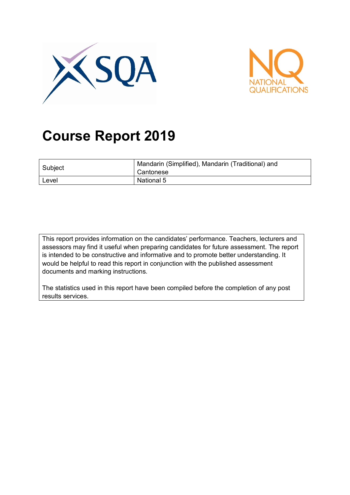



# **Course Report 2019**

| Subject | Mandarin (Simplified), Mandarin (Traditional) and<br>Cantonese |
|---------|----------------------------------------------------------------|
| Level   | National 5                                                     |

This report provides information on the candidates' performance. Teachers, lecturers and assessors may find it useful when preparing candidates for future assessment. The report is intended to be constructive and informative and to promote better understanding. It would be helpful to read this report in conjunction with the published assessment documents and marking instructions.

The statistics used in this report have been compiled before the completion of any post results services.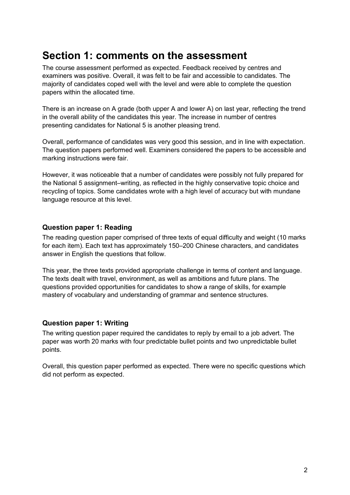### **Section 1: comments on the assessment**

The course assessment performed as expected. Feedback received by centres and examiners was positive. Overall, it was felt to be fair and accessible to candidates. The majority of candidates coped well with the level and were able to complete the question papers within the allocated time.

There is an increase on A grade (both upper A and lower A) on last year, reflecting the trend in the overall ability of the candidates this year. The increase in number of centres presenting candidates for National 5 is another pleasing trend.

Overall, performance of candidates was very good this session, and in line with expectation. The question papers performed well. Examiners considered the papers to be accessible and marking instructions were fair.

However, it was noticeable that a number of candidates were possibly not fully prepared for the National 5 assignment–writing, as reflected in the highly conservative topic choice and recycling of topics. Some candidates wrote with a high level of accuracy but with mundane language resource at this level.

#### **Question paper 1: Reading**

The reading question paper comprised of three texts of equal difficulty and weight (10 marks for each item). Each text has approximately 150–200 Chinese characters, and candidates answer in English the questions that follow.

This year, the three texts provided appropriate challenge in terms of content and language. The texts dealt with travel, environment, as well as ambitions and future plans. The questions provided opportunities for candidates to show a range of skills, for example mastery of vocabulary and understanding of grammar and sentence structures.

#### **Question paper 1: Writing**

The writing question paper required the candidates to reply by email to a job advert. The paper was worth 20 marks with four predictable bullet points and two unpredictable bullet points.

Overall, this question paper performed as expected. There were no specific questions which did not perform as expected.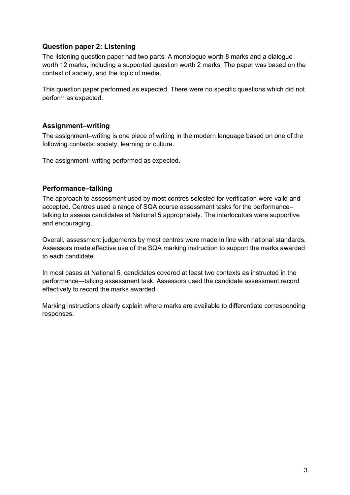#### **Question paper 2: Listening**

The listening question paper had two parts: A monologue worth 8 marks and a dialogue worth 12 marks, including a supported question worth 2 marks. The paper was based on the context of society, and the topic of media.

This question paper performed as expected. There were no specific questions which did not perform as expected.

#### **Assignment–writing**

The assignment–writing is one piece of writing in the modern language based on one of the following contexts: society, learning or culture.

The assignment–writing performed as expected.

#### **Performance–talking**

The approach to assessment used by most centres selected for verification were valid and accepted. Centres used a range of SQA course assessment tasks for the performance– talking to assess candidates at National 5 appropriately. The interlocutors were supportive and encouraging.

Overall, assessment judgements by most centres were made in line with national standards. Assessors made effective use of the SQA marking instruction to support the marks awarded to each candidate.

In most cases at National 5, candidates covered at least two contexts as instructed in the performance–-talking assessment task. Assessors used the candidate assessment record effectively to record the marks awarded.

Marking instructions clearly explain where marks are available to differentiate corresponding responses.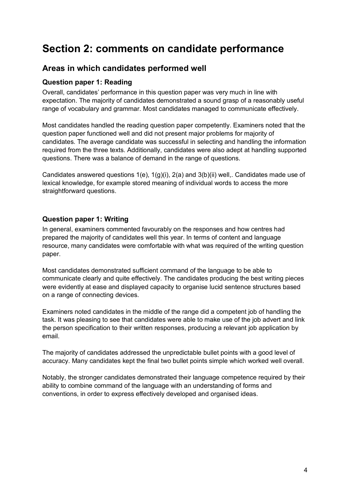# **Section 2: comments on candidate performance**

### **Areas in which candidates performed well**

#### **Question paper 1: Reading**

Overall, candidates' performance in this question paper was very much in line with expectation. The majority of candidates demonstrated a sound grasp of a reasonably useful range of vocabulary and grammar. Most candidates managed to communicate effectively.

Most candidates handled the reading question paper competently. Examiners noted that the question paper functioned well and did not present major problems for majority of candidates. The average candidate was successful in selecting and handling the information required from the three texts. Additionally, candidates were also adept at handling supported questions. There was a balance of demand in the range of questions.

Candidates answered questions 1(e), 1(g)(i), 2(a) and 3(b)(ii) well,. Candidates made use of lexical knowledge, for example stored meaning of individual words to access the more straightforward questions.

#### **Question paper 1: Writing**

In general, examiners commented favourably on the responses and how centres had prepared the majority of candidates well this year. In terms of content and language resource, many candidates were comfortable with what was required of the writing question paper.

Most candidates demonstrated sufficient command of the language to be able to communicate clearly and quite effectively. The candidates producing the best writing pieces were evidently at ease and displayed capacity to organise lucid sentence structures based on a range of connecting devices.

Examiners noted candidates in the middle of the range did a competent job of handling the task. It was pleasing to see that candidates were able to make use of the job advert and link the person specification to their written responses, producing a relevant job application by email.

The majority of candidates addressed the unpredictable bullet points with a good level of accuracy. Many candidates kept the final two bullet points simple which worked well overall.

Notably, the stronger candidates demonstrated their language competence required by their ability to combine command of the language with an understanding of forms and conventions, in order to express effectively developed and organised ideas.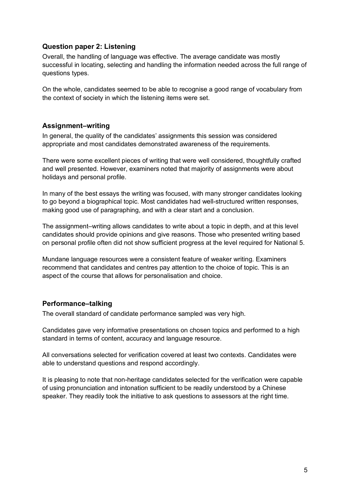#### **Question paper 2: Listening**

Overall, the handling of language was effective. The average candidate was mostly successful in locating, selecting and handling the information needed across the full range of questions types.

On the whole, candidates seemed to be able to recognise a good range of vocabulary from the context of society in which the listening items were set.

#### **Assignment–writing**

In general, the quality of the candidates' assignments this session was considered appropriate and most candidates demonstrated awareness of the requirements.

There were some excellent pieces of writing that were well considered, thoughtfully crafted and well presented. However, examiners noted that majority of assignments were about holidays and personal profile.

In many of the best essays the writing was focused, with many stronger candidates looking to go beyond a biographical topic. Most candidates had well-structured written responses, making good use of paragraphing, and with a clear start and a conclusion.

The assignment–writing allows candidates to write about a topic in depth, and at this level candidates should provide opinions and give reasons. Those who presented writing based on personal profile often did not show sufficient progress at the level required for National 5.

Mundane language resources were a consistent feature of weaker writing. Examiners recommend that candidates and centres pay attention to the choice of topic. This is an aspect of the course that allows for personalisation and choice.

#### **Performance–talking**

The overall standard of candidate performance sampled was very high.

Candidates gave very informative presentations on chosen topics and performed to a high standard in terms of content, accuracy and language resource.

All conversations selected for verification covered at least two contexts. Candidates were able to understand questions and respond accordingly.

It is pleasing to note that non-heritage candidates selected for the verification were capable of using pronunciation and intonation sufficient to be readily understood by a Chinese speaker. They readily took the initiative to ask questions to assessors at the right time.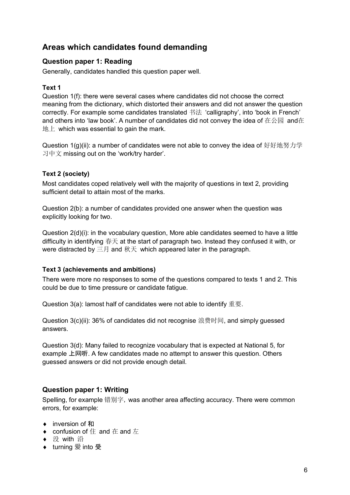### **Areas which candidates found demanding**

#### **Question paper 1: Reading**

Generally, candidates handled this question paper well.

#### **Text 1**

Question 1(f): there were several cases where candidates did not choose the correct meaning from the dictionary, which distorted their answers and did not answer the question correctly. For example some candidates translated 书法 'calligraphy', into 'book in French' and others into 'law book'. A number of candidates did not convey the idea of  $\pm \& \overline{\text{m}}$  and在  $\pm \pm \times$  which was essential to gain the mark.

Question 1(g)(ii): a number of candidates were not able to convey the idea of 好好地努力学 习中文 missing out on the 'work/try harder'.

#### **Text 2 (society)**

Most candidates coped relatively well with the majority of questions in text 2, providing sufficient detail to attain most of the marks.

Question 2(b): a number of candidates provided one answer when the question was explicitly looking for two.

Question 2(d)(i): in the vocabulary question, More able candidates seemed to have a little difficulty in identifying 春天 at the start of paragraph two. Instead they confused it with, or were distracted by 三月 and 秋天 which appeared later in the paragraph.

#### **Text 3 (achievements and ambitions)**

There were more no responses to some of the questions compared to texts 1 and 2. This could be due to time pressure or candidate fatigue.

Question 3(a): lamost half of candidates were not able to identify 重要.

Question 3(c)(ii): 36% of candidates did not recognise 浪费时间, and simply guessed answers.

Question 3(d): Many failed to recognize vocabulary that is expected at National 5, for example 上网听. A few candidates made no attempt to answer this question. Others guessed answers or did not provide enough detail.

#### **Question paper 1: Writing**

Spelling, for example 错别字, was another area affecting accuracy. There were common errors, for example:

- ◆ inversion of 和
- ◆ confusion of 住 and 在 and 左
- ◆ 没 with 沿
- ♦ turning 爱 into 受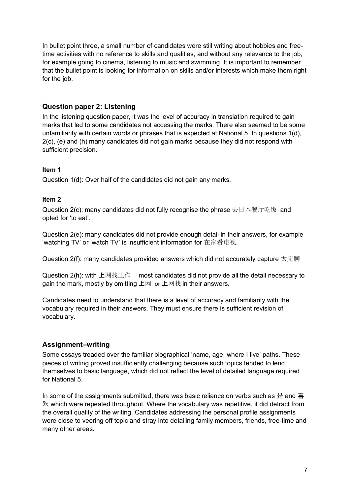In bullet point three, a small number of candidates were still writing about hobbies and freetime activities with no reference to skills and qualities, and without any relevance to the job, for example going to cinema, listening to music and swimming. It is important to remember that the bullet point is looking for information on skills and/or interests which make them right for the job.

#### **Question paper 2: Listening**

In the listening question paper, it was the level of accuracy in translation required to gain marks that led to some candidates not accessing the marks. There also seemed to be some unfamiliarity with certain words or phrases that is expected at National 5. In questions 1(d), 2(c), (e) and (h) many candidates did not gain marks because they did not respond with sufficient precision.

#### **Item 1**

Question 1(d): Over half of the candidates did not gain any marks.

#### **Item 2**

Question 2(c): many candidates did not fully recognise the phrase 去日本餐厅吃饭 and opted for 'to eat'.

Question 2(e): many candidates did not provide enough detail in their answers, for example 'watching TV' or 'watch TV' is insufficient information for 在家看电视.

Question 2(f): many candidates provided answers which did not accurately capture 太无聊

Question 2(h): with 上网找工作 most candidates did not provide all the detail necessary to gain the mark, mostly by omitting  $\pm \boxtimes$  or  $\pm \boxtimes \ddagger$  in their answers.

Candidates need to understand that there is a level of accuracy and familiarity with the vocabulary required in their answers. They must ensure there is sufficient revision of vocabulary.

#### **Assignment–writing**

Some essays treaded over the familiar biographical 'name, age, where I live' paths. These pieces of writing proved insufficiently challenging because such topics tended to lend themselves to basic language, which did not reflect the level of detailed language required for National 5.

In some of the assignments submitted, there was basic reliance on verbs such as 是 and 喜 欢 which were repeated throughout. Where the vocabulary was repetitive, it did detract from the overall quality of the writing. Candidates addressing the personal profile assignments were close to veering off topic and stray into detailing family members, friends, free-time and many other areas.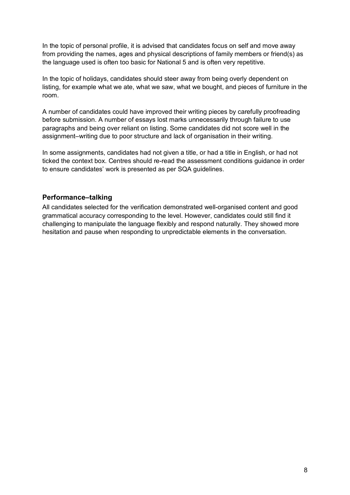In the topic of personal profile, it is advised that candidates focus on self and move away from providing the names, ages and physical descriptions of family members or friend(s) as the language used is often too basic for National 5 and is often very repetitive.

In the topic of holidays, candidates should steer away from being overly dependent on listing, for example what we ate, what we saw, what we bought, and pieces of furniture in the room.

A number of candidates could have improved their writing pieces by carefully proofreading before submission. A number of essays lost marks unnecessarily through failure to use paragraphs and being over reliant on listing. Some candidates did not score well in the assignment–writing due to poor structure and lack of organisation in their writing.

In some assignments, candidates had not given a title, or had a title in English, or had not ticked the context box. Centres should re-read the assessment conditions guidance in order to ensure candidates' work is presented as per SQA guidelines.

#### **Performance–talking**

All candidates selected for the verification demonstrated well-organised content and good grammatical accuracy corresponding to the level. However, candidates could still find it challenging to manipulate the language flexibly and respond naturally. They showed more hesitation and pause when responding to unpredictable elements in the conversation.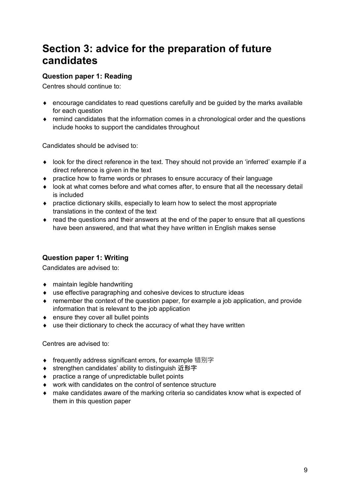# **Section 3: advice for the preparation of future candidates**

#### **Question paper 1: Reading**

Centres should continue to:

- $\bullet$  encourage candidates to read questions carefully and be quided by the marks available for each question
- ♦ remind candidates that the information comes in a chronological order and the questions include hooks to support the candidates throughout

Candidates should be advised to:

- ♦ look for the direct reference in the text. They should not provide an 'inferred' example if a direct reference is given in the text
- ♦ practice how to frame words or phrases to ensure accuracy of their language
- ♦ look at what comes before and what comes after, to ensure that all the necessary detail is included
- $\bullet$  practice dictionary skills, especially to learn how to select the most appropriate translations in the context of the text
- $\bullet$  read the questions and their answers at the end of the paper to ensure that all questions have been answered, and that what they have written in English makes sense

#### **Question paper 1: Writing**

Candidates are advised to:

- ♦ maintain legible handwriting
- ♦ use effective paragraphing and cohesive devices to structure ideas
- $\bullet$  remember the context of the question paper, for example a job application, and provide information that is relevant to the job application
- ♦ ensure they cover all bullet points
- ♦ use their dictionary to check the accuracy of what they have written

Centres are advised to:

- ◆ frequently address significant errors, for example 错别字
- ◆ strengthen candidates' ability to distinguish 近形字
- ♦ practice a range of unpredictable bullet points
- ♦ work with candidates on the control of sentence structure
- ♦ make candidates aware of the marking criteria so candidates know what is expected of them in this question paper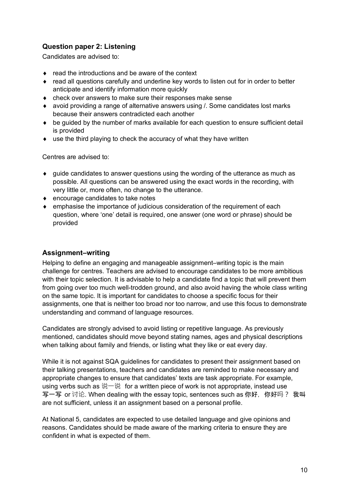#### **Question paper 2: Listening**

Candidates are advised to:

- ♦ read the introductions and be aware of the context
- ♦ read all questions carefully and underline key words to listen out for in order to better anticipate and identify information more quickly
- ♦ check over answers to make sure their responses make sense
- ♦ avoid providing a range of alternative answers using /. Some candidates lost marks because their answers contradicted each another
- ♦ be guided by the number of marks available for each question to ensure sufficient detail is provided
- ♦ use the third playing to check the accuracy of what they have written

Centres are advised to:

- $\bullet$  quide candidates to answer questions using the wording of the utterance as much as possible. All questions can be answered using the exact words in the recording, with very little or, more often, no change to the utterance.
- ♦ encourage candidates to take notes
- $\bullet$  emphasise the importance of judicious consideration of the requirement of each question, where 'one' detail is required, one answer (one word or phrase) should be provided

#### **Assignment–writing**

Helping to define an engaging and manageable assignment–writing topic is the main challenge for centres. Teachers are advised to encourage candidates to be more ambitious with their topic selection. It is advisable to help a candidate find a topic that will prevent them from going over too much well-trodden ground, and also avoid having the whole class writing on the same topic. It is important for candidates to choose a specific focus for their assignments, one that is neither too broad nor too narrow, and use this focus to demonstrate understanding and command of language resources.

Candidates are strongly advised to avoid listing or repetitive language. As previously mentioned, candidates should move beyond stating names, ages and physical descriptions when talking about family and friends, or listing what they like or eat every day.

While it is not against SQA guidelines for candidates to present their assignment based on their talking presentations, teachers and candidates are reminded to make necessary and appropriate changes to ensure that candidates' texts are task appropriate. For example, using verbs such as 说一说 for a written piece of work is not appropriate, instead use 写一写 or 讨论. When dealing with the essay topic, sentences such as 你好, 你好吗? 我叫 are not sufficient, unless it an assignment based on a personal profile.

At National 5, candidates are expected to use detailed language and give opinions and reasons. Candidates should be made aware of the marking criteria to ensure they are confident in what is expected of them.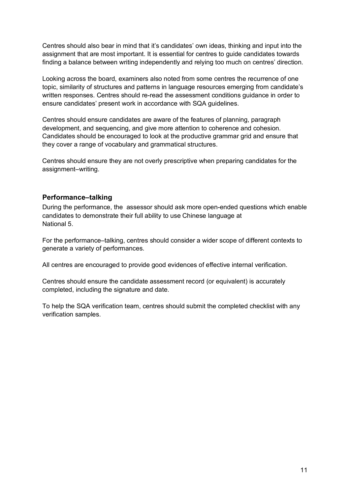Centres should also bear in mind that it's candidates' own ideas, thinking and input into the assignment that are most important. It is essential for centres to guide candidates towards finding a balance between writing independently and relying too much on centres' direction.

Looking across the board, examiners also noted from some centres the recurrence of one topic, similarity of structures and patterns in language resources emerging from candidate's written responses. Centres should re-read the assessment conditions guidance in order to ensure candidates' present work in accordance with SQA guidelines.

Centres should ensure candidates are aware of the features of planning, paragraph development, and sequencing, and give more attention to coherence and cohesion. Candidates should be encouraged to look at the productive grammar grid and ensure that they cover a range of vocabulary and grammatical structures.

Centres should ensure they are not overly prescriptive when preparing candidates for the assignment–writing.

#### **Performance–talking**

During the performance, the assessor should ask more open-ended questions which enable candidates to demonstrate their full ability to use Chinese language at National 5.

For the performance–talking, centres should consider a wider scope of different contexts to generate a variety of performances.

All centres are encouraged to provide good evidences of effective internal verification.

Centres should ensure the candidate assessment record (or equivalent) is accurately completed, including the signature and date.

To help the SQA verification team, centres should submit the completed checklist with any verification samples.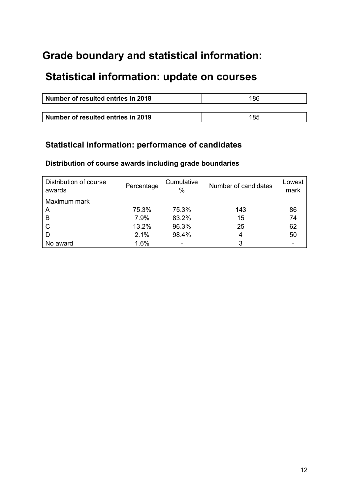# **Grade boundary and statistical information:**

# **Statistical information: update on courses**

| Number of resulted entries in 2018 | 186 |
|------------------------------------|-----|
|                                    |     |
| Number of resulted entries in 2019 | 185 |

### **Statistical information: performance of candidates**

#### **Distribution of course awards including grade boundaries**

| Distribution of course<br>awards | Percentage | Cumulative<br>$\frac{0}{0}$ | Number of candidates | Lowest<br>mark |
|----------------------------------|------------|-----------------------------|----------------------|----------------|
| Maximum mark                     |            |                             |                      |                |
| A                                | 75.3%      | 75.3%                       | 143                  | 86             |
| B                                | 7.9%       | 83.2%                       | 15                   | 74             |
| $\mathsf{C}$                     | 13.2%      | 96.3%                       | 25                   | 62             |
| D                                | 2.1%       | 98.4%                       | 4                    | 50             |
| No award                         | 1.6%       |                             | 3                    |                |